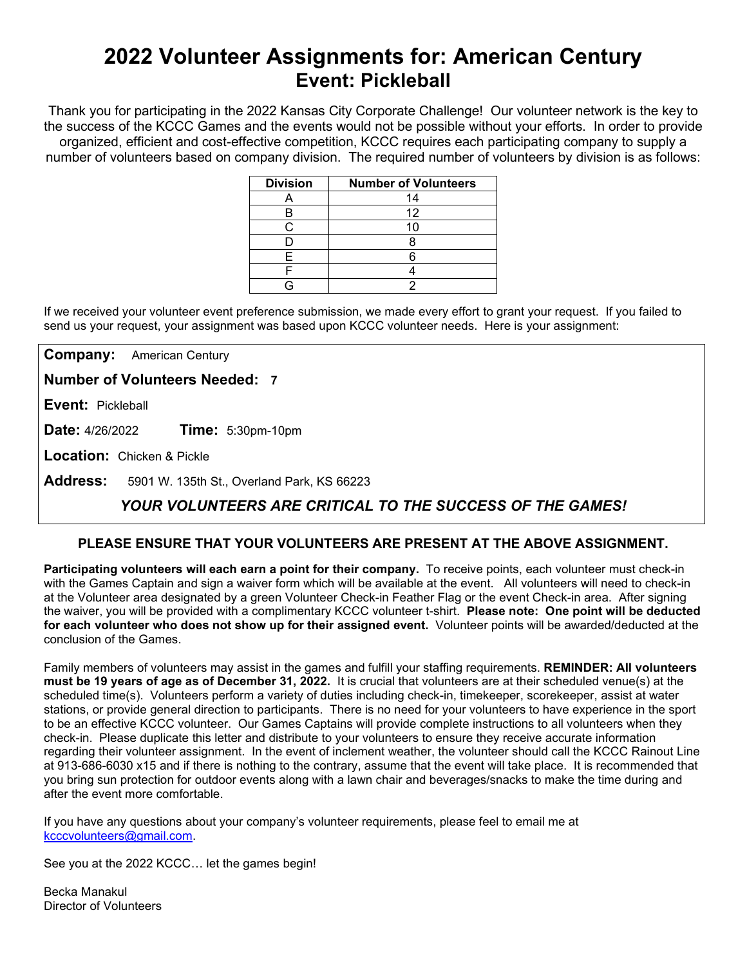# **2022 Volunteer Assignments for: American Century Event: Pickleball**

Thank you for participating in the 2022 Kansas City Corporate Challenge! Our volunteer network is the key to the success of the KCCC Games and the events would not be possible without your efforts.In order to provide organized, efficient and cost-effective competition, KCCC requires each participating company to supply a number of volunteers based on company division. The required number of volunteers by division is as follows:

| <b>Division</b> | <b>Number of Volunteers</b> |
|-----------------|-----------------------------|
|                 | 14                          |
|                 | 12                          |
|                 | 10                          |
|                 |                             |
| ᄃ               |                             |
|                 |                             |
|                 |                             |

If we received your volunteer event preference submission, we made every effort to grant your request. If you failed to send us your request, your assignment was based upon KCCC volunteer needs. Here is your assignment:

**Company:** American Century

**Number of Volunteers Needed: 7**

**Event:** Pickleball

**Date:** 4/26/2022 **Time:** 5:30pm-10pm

**Location:** Chicken & Pickle

**Address:** 5901 W. 135th St., Overland Park, KS 66223

## *YOUR VOLUNTEERS ARE CRITICAL TO THE SUCCESS OF THE GAMES!*

### **PLEASE ENSURE THAT YOUR VOLUNTEERS ARE PRESENT AT THE ABOVE ASSIGNMENT.**

**Participating volunteers will each earn a point for their company.** To receive points, each volunteer must check-in with the Games Captain and sign a waiver form which will be available at the event. All volunteers will need to check-in at the Volunteer area designated by a green Volunteer Check-in Feather Flag or the event Check-in area. After signing the waiver, you will be provided with a complimentary KCCC volunteer t-shirt. **Please note: One point will be deducted for each volunteer who does not show up for their assigned event.** Volunteer points will be awarded/deducted at the conclusion of the Games.

Family members of volunteers may assist in the games and fulfill your staffing requirements. **REMINDER: All volunteers must be 19 years of age as of December 31, 2022.** It is crucial that volunteers are at their scheduled venue(s) at the scheduled time(s). Volunteers perform a variety of duties including check-in, timekeeper, scorekeeper, assist at water stations, or provide general direction to participants. There is no need for your volunteers to have experience in the sport to be an effective KCCC volunteer. Our Games Captains will provide complete instructions to all volunteers when they check-in. Please duplicate this letter and distribute to your volunteers to ensure they receive accurate information regarding their volunteer assignment. In the event of inclement weather, the volunteer should call the KCCC Rainout Line at 913-686-6030 x15 and if there is nothing to the contrary, assume that the event will take place. It is recommended that you bring sun protection for outdoor events along with a lawn chair and beverages/snacks to make the time during and after the event more comfortable.

If you have any questions about your company's volunteer requirements, please feel to email me at [kcccvolunteers@gmail.com.](mailto:kcccvolunteers@gmail.com)

See you at the 2022 KCCC… let the games begin!

Becka Manakul Director of Volunteers